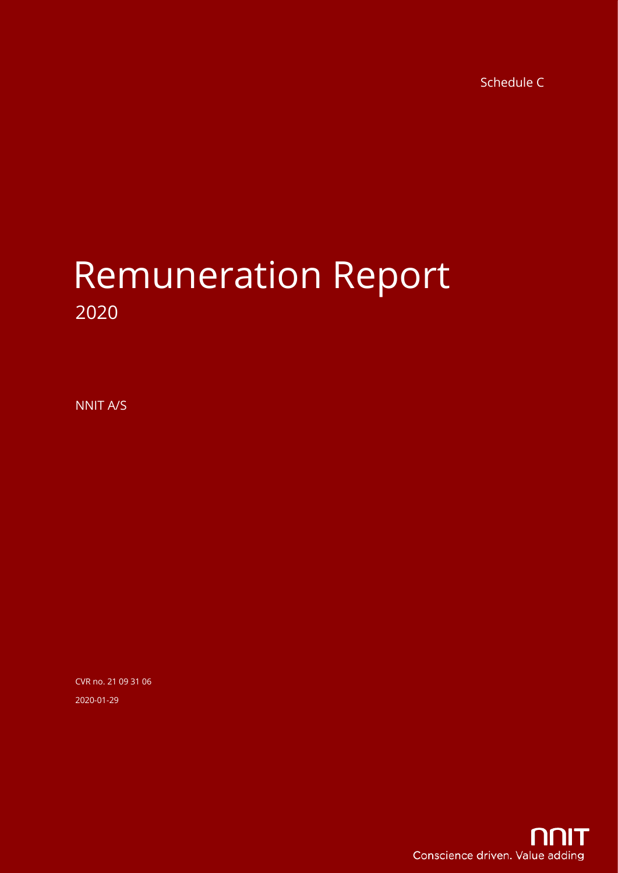Schedule C

# Remuneration Report 2020

NNIT A/S

CVR no. 21 09 31 06 2020-01-29

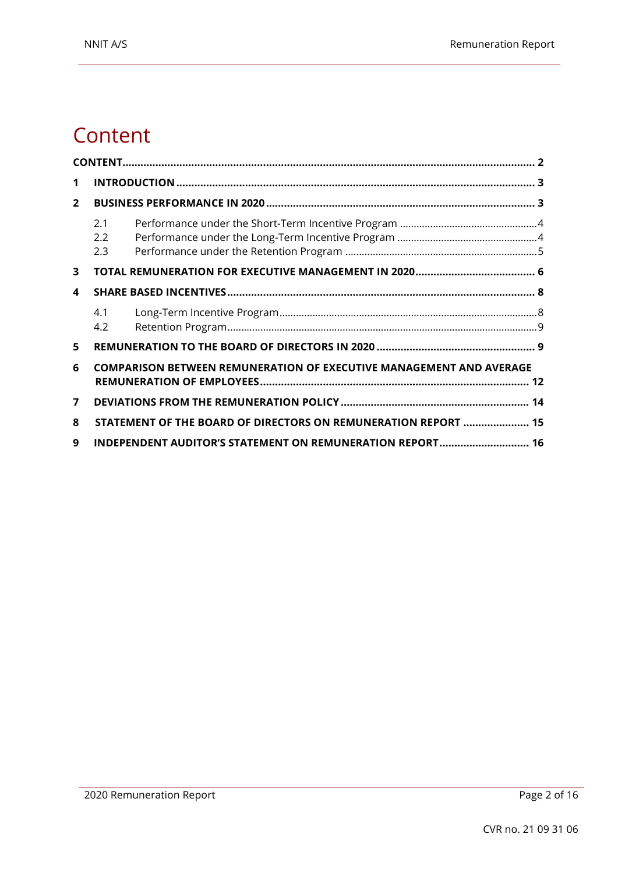### <span id="page-1-0"></span>**Content**

| 1              |                                                           |                                                                            |  |  |  |  |
|----------------|-----------------------------------------------------------|----------------------------------------------------------------------------|--|--|--|--|
| $\overline{2}$ |                                                           |                                                                            |  |  |  |  |
|                | 2.1<br>2.2<br>2.3                                         |                                                                            |  |  |  |  |
| 3              |                                                           |                                                                            |  |  |  |  |
| 4              |                                                           |                                                                            |  |  |  |  |
|                | 4.1<br>4.2                                                |                                                                            |  |  |  |  |
| 5              |                                                           |                                                                            |  |  |  |  |
| 6              |                                                           | <b>COMPARISON BETWEEN REMUNERATION OF EXECUTIVE MANAGEMENT AND AVERAGE</b> |  |  |  |  |
| 7              |                                                           |                                                                            |  |  |  |  |
| 8              |                                                           | STATEMENT OF THE BOARD OF DIRECTORS ON REMUNERATION REPORT  15             |  |  |  |  |
| 9              | INDEPENDENT AUDITOR'S STATEMENT ON REMUNERATION REPORT 16 |                                                                            |  |  |  |  |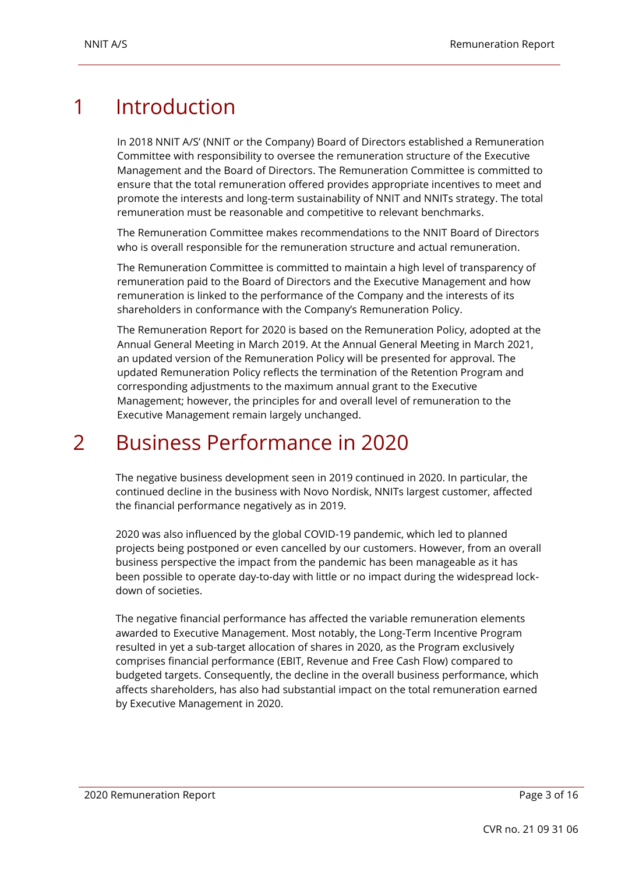### <span id="page-2-0"></span>1 Introduction

In 2018 NNIT A/S' (NNIT or the Company) Board of Directors established a Remuneration Committee with responsibility to oversee the remuneration structure of the Executive Management and the Board of Directors. The Remuneration Committee is committed to ensure that the total remuneration offered provides appropriate incentives to meet and promote the interests and long-term sustainability of NNIT and NNITs strategy. The total remuneration must be reasonable and competitive to relevant benchmarks.

The Remuneration Committee makes recommendations to the NNIT Board of Directors who is overall responsible for the remuneration structure and actual remuneration.

The Remuneration Committee is committed to maintain a high level of transparency of remuneration paid to the Board of Directors and the Executive Management and how remuneration is linked to the performance of the Company and the interests of its shareholders in conformance with the Company's Remuneration Policy.

The Remuneration Report for 2020 is based on the Remuneration Policy, adopted at the Annual General Meeting in March 2019. At the Annual General Meeting in March 2021, an updated version of the Remuneration Policy will be presented for approval. The updated Remuneration Policy reflects the termination of the Retention Program and corresponding adjustments to the maximum annual grant to the Executive Management; however, the principles for and overall level of remuneration to the Executive Management remain largely unchanged.

### <span id="page-2-1"></span>2 Business Performance in 2020

The negative business development seen in 2019 continued in 2020. In particular, the continued decline in the business with Novo Nordisk, NNITs largest customer, affected the financial performance negatively as in 2019.

2020 was also influenced by the global COVID-19 pandemic, which led to planned projects being postponed or even cancelled by our customers. However, from an overall business perspective the impact from the pandemic has been manageable as it has been possible to operate day-to-day with little or no impact during the widespread lockdown of societies.

The negative financial performance has affected the variable remuneration elements awarded to Executive Management. Most notably, the Long-Term Incentive Program resulted in yet a sub-target allocation of shares in 2020, as the Program exclusively comprises financial performance (EBIT, Revenue and Free Cash Flow) compared to budgeted targets. Consequently, the decline in the overall business performance, which affects shareholders, has also had substantial impact on the total remuneration earned by Executive Management in 2020.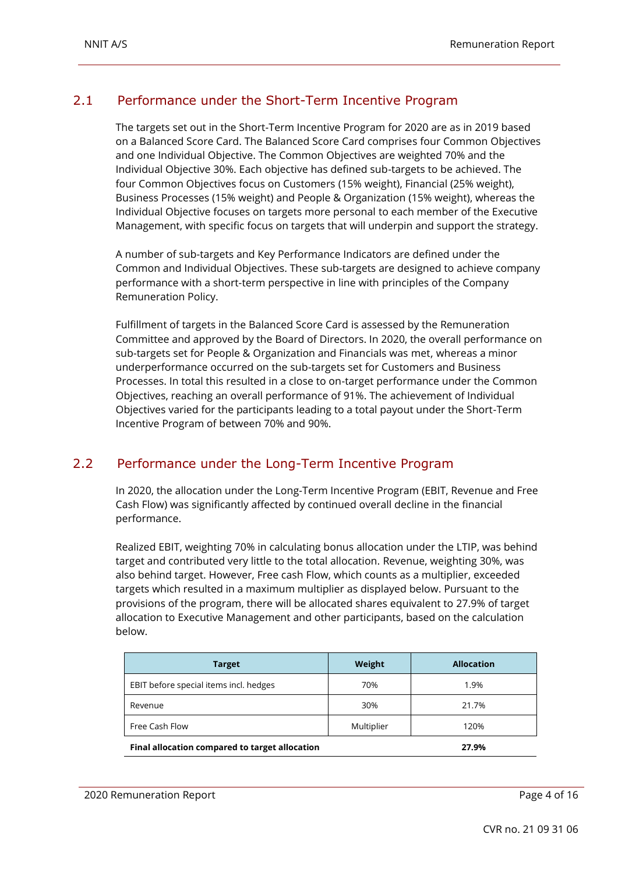#### <span id="page-3-0"></span>2.1 Performance under the Short-Term Incentive Program

The targets set out in the Short-Term Incentive Program for 2020 are as in 2019 based on a Balanced Score Card. The Balanced Score Card comprises four Common Objectives and one Individual Objective. The Common Objectives are weighted 70% and the Individual Objective 30%. Each objective has defined sub-targets to be achieved. The four Common Objectives focus on Customers (15% weight), Financial (25% weight), Business Processes (15% weight) and People & Organization (15% weight), whereas the Individual Objective focuses on targets more personal to each member of the Executive Management, with specific focus on targets that will underpin and support the strategy.

A number of sub-targets and Key Performance Indicators are defined under the Common and Individual Objectives. These sub-targets are designed to achieve company performance with a short-term perspective in line with principles of the Company Remuneration Policy.

Fulfillment of targets in the Balanced Score Card is assessed by the Remuneration Committee and approved by the Board of Directors. In 2020, the overall performance on sub-targets set for People & Organization and Financials was met, whereas a minor underperformance occurred on the sub-targets set for Customers and Business Processes. In total this resulted in a close to on-target performance under the Common Objectives, reaching an overall performance of 91%. The achievement of Individual Objectives varied for the participants leading to a total payout under the Short-Term Incentive Program of between 70% and 90%.

#### <span id="page-3-1"></span>2.2 Performance under the Long-Term Incentive Program

In 2020, the allocation under the Long-Term Incentive Program (EBIT, Revenue and Free Cash Flow) was significantly affected by continued overall decline in the financial performance.

Realized EBIT, weighting 70% in calculating bonus allocation under the LTIP, was behind target and contributed very little to the total allocation. Revenue, weighting 30%, was also behind target. However, Free cash Flow, which counts as a multiplier, exceeded targets which resulted in a maximum multiplier as displayed below. Pursuant to the provisions of the program, there will be allocated shares equivalent to 27.9% of target allocation to Executive Management and other participants, based on the calculation below.

| <b>Target</b>                                  | Weight     | <b>Allocation</b> |
|------------------------------------------------|------------|-------------------|
| EBIT before special items incl. hedges         | 70%        | 1.9%              |
| Revenue                                        | 30%        | 21.7%             |
| Free Cash Flow                                 | Multiplier | 120%              |
| Final allocation compared to target allocation |            | 27.9%             |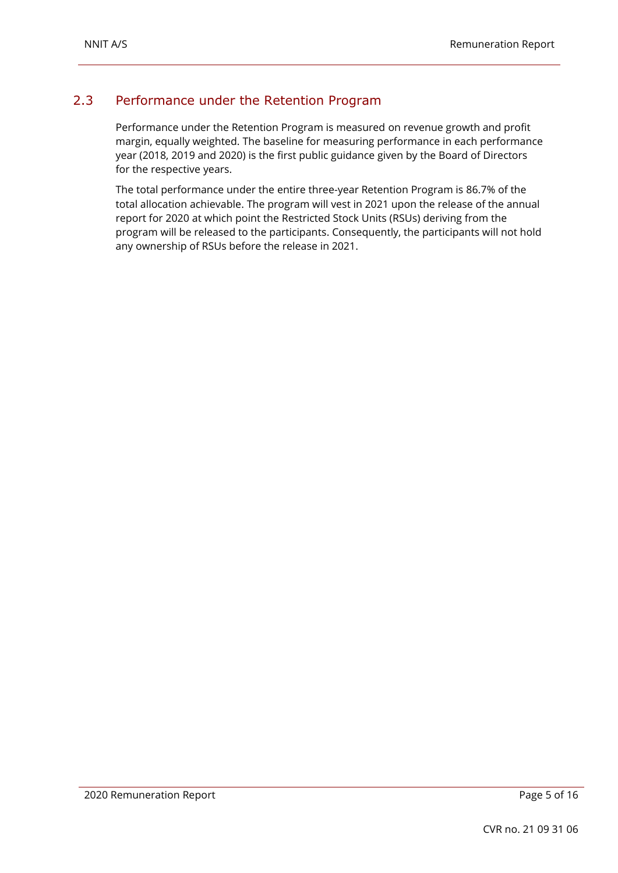### <span id="page-4-0"></span>2.3 Performance under the Retention Program

Performance under the Retention Program is measured on revenue growth and profit margin, equally weighted. The baseline for measuring performance in each performance year (2018, 2019 and 2020) is the first public guidance given by the Board of Directors for the respective years.

The total performance under the entire three-year Retention Program is 86.7% of the total allocation achievable. The program will vest in 2021 upon the release of the annual report for 2020 at which point the Restricted Stock Units (RSUs) deriving from the program will be released to the participants. Consequently, the participants will not hold any ownership of RSUs before the release in 2021.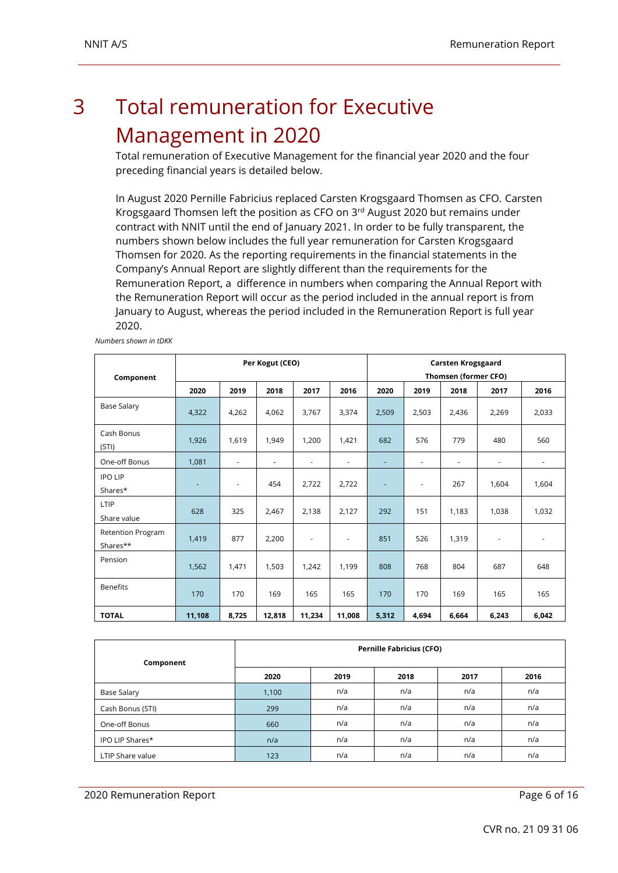### <span id="page-5-0"></span>3 Total remuneration for Executive Management in 2020

Total remuneration of Executive Management for the financial year 2020 and the four preceding financial years is detailed below.

In August 2020 Pernille Fabricius replaced Carsten Krogsgaard Thomsen as CFO. Carsten Krogsgaard Thomsen left the position as CFO on  $3<sup>rd</sup>$  August 2020 but remains under contract with NNIT until the end of January 2021. In order to be fully transparent, the numbers shown below includes the full year remuneration for Carsten Krogsgaard Thomsen for 2020. As the reporting requirements in the financial statements in the Company's Annual Report are slightly different than the requirements for the Remuneration Report, a difference in numbers when comparing the Annual Report with the Remuneration Report will occur as the period included in the annual report is from January to August, whereas the period included in the Remuneration Report is full year 2020.

| Component                            |        |                          | Per Kogut (CEO)          |                          |                          | <b>Carsten Krogsgaard</b><br>Thomsen (former CFO) |                          |                          |                          |                          |
|--------------------------------------|--------|--------------------------|--------------------------|--------------------------|--------------------------|---------------------------------------------------|--------------------------|--------------------------|--------------------------|--------------------------|
|                                      | 2020   | 2019                     | 2018                     | 2017                     | 2016                     | 2020                                              | 2019                     | 2018                     | 2017                     | 2016                     |
| <b>Base Salary</b>                   | 4,322  | 4,262                    | 4,062                    | 3,767                    | 3,374                    | 2,509                                             | 2,503                    | 2,436                    | 2,269                    | 2,033                    |
| Cash Bonus<br>(STI)                  | 1,926  | 1,619                    | 1,949                    | 1,200                    | 1,421                    | 682                                               | 576                      | 779                      | 480                      | 560                      |
| One-off Bonus                        | 1,081  | $\overline{\phantom{a}}$ | $\overline{\phantom{a}}$ | $\overline{\phantom{a}}$ | $\overline{\phantom{a}}$ | ٠                                                 | $\overline{\phantom{a}}$ | $\overline{\phantom{a}}$ | $\overline{\phantom{a}}$ | $\overline{\phantom{a}}$ |
| <b>IPO LIP</b><br>Shares*            | ٠      | $\overline{\phantom{a}}$ | 454                      | 2.722                    | 2,722                    | ٠                                                 | $\overline{\phantom{a}}$ | 267                      | 1,604                    | 1,604                    |
| LTIP<br>Share value                  | 628    | 325                      | 2,467                    | 2,138                    | 2,127                    | 292                                               | 151                      | 1,183                    | 1,038                    | 1,032                    |
| <b>Retention Program</b><br>Shares** | 1,419  | 877                      | 2,200                    | $\overline{\phantom{a}}$ | $\overline{\phantom{a}}$ | 851                                               | 526                      | 1,319                    | $\overline{\phantom{a}}$ | $\overline{\phantom{a}}$ |
| Pension                              | 1,562  | 1,471                    | 1,503                    | 1,242                    | 1,199                    | 808                                               | 768                      | 804                      | 687                      | 648                      |
| <b>Benefits</b>                      | 170    | 170                      | 169                      | 165                      | 165                      | 170                                               | 170                      | 169                      | 165                      | 165                      |
| <b>TOTAL</b>                         | 11,108 | 8,725                    | 12,818                   | 11,234                   | 11,008                   | 5,312                                             | 4,694                    | 6,664                    | 6,243                    | 6,042                    |

*Numbers shown in tDKK*

| Component        | <b>Pernille Fabricius (CFO)</b> |      |      |      |      |  |  |  |
|------------------|---------------------------------|------|------|------|------|--|--|--|
|                  | 2020                            | 2019 | 2018 | 2017 | 2016 |  |  |  |
| Base Salary      | 1,100                           | n/a  | n/a  | n/a  | n/a  |  |  |  |
| Cash Bonus (STI) | 299                             | n/a  | n/a  | n/a  | n/a  |  |  |  |
| One-off Bonus    | 660                             | n/a  | n/a  | n/a  | n/a  |  |  |  |
| IPO LIP Shares*  | n/a                             | n/a  | n/a  | n/a  | n/a  |  |  |  |
| LTIP Share value | 123                             | n/a  | n/a  | n/a  | n/a  |  |  |  |

2020 Remuneration Report **Page 6 of 16**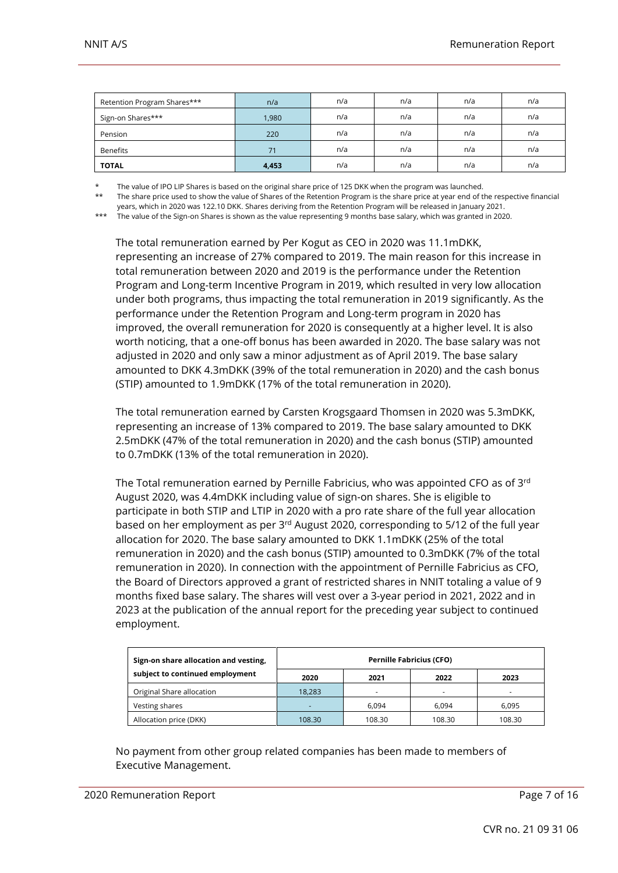| Retention Program Shares*** | n/a   | n/a | n/a | n/a | n/a |
|-----------------------------|-------|-----|-----|-----|-----|
| Sign-on Shares***           | 1,980 | n/a | n/a | n/a | n/a |
| Pension                     | 220   | n/a | n/a | n/a | n/a |
| Benefits                    | 71    | n/a | n/a | n/a | n/a |
| <b>TOTAL</b>                | 4,453 | n/a | n/a | n/a | n/a |

The value of IPO LIP Shares is based on the original share price of 125 DKK when the program was launched.

\*\* The share price used to show the value of Shares of the Retention Program is the share price at year end of the respective financial years, which in 2020 was 122.10 DKK. Shares deriving from the Retention Program will be released in January 2021.

\*\*\* The value of the Sign-on Shares is shown as the value representing 9 months base salary, which was granted in 2020.

The total remuneration earned by Per Kogut as CEO in 2020 was 11.1mDKK, representing an increase of 27% compared to 2019. The main reason for this increase in total remuneration between 2020 and 2019 is the performance under the Retention Program and Long-term Incentive Program in 2019, which resulted in very low allocation under both programs, thus impacting the total remuneration in 2019 significantly. As the performance under the Retention Program and Long-term program in 2020 has improved, the overall remuneration for 2020 is consequently at a higher level. It is also worth noticing, that a one-off bonus has been awarded in 2020. The base salary was not adjusted in 2020 and only saw a minor adjustment as of April 2019. The base salary amounted to DKK 4.3mDKK (39% of the total remuneration in 2020) and the cash bonus (STIP) amounted to 1.9mDKK (17% of the total remuneration in 2020).

The total remuneration earned by Carsten Krogsgaard Thomsen in 2020 was 5.3mDKK, representing an increase of 13% compared to 2019. The base salary amounted to DKK 2.5mDKK (47% of the total remuneration in 2020) and the cash bonus (STIP) amounted to 0.7mDKK (13% of the total remuneration in 2020).

The Total remuneration earned by Pernille Fabricius, who was appointed CFO as of  $3<sup>rd</sup>$ August 2020, was 4.4mDKK including value of sign-on shares. She is eligible to participate in both STIP and LTIP in 2020 with a pro rate share of the full year allocation based on her employment as per 3rd August 2020, corresponding to 5/12 of the full year allocation for 2020. The base salary amounted to DKK 1.1mDKK (25% of the total remuneration in 2020) and the cash bonus (STIP) amounted to 0.3mDKK (7% of the total remuneration in 2020). In connection with the appointment of Pernille Fabricius as CFO, the Board of Directors approved a grant of restricted shares in NNIT totaling a value of 9 months fixed base salary. The shares will vest over a 3-year period in 2021, 2022 and in 2023 at the publication of the annual report for the preceding year subject to continued employment.

| Sign-on share allocation and vesting, | <b>Pernille Fabricius (CFO)</b> |        |        |        |  |  |  |
|---------------------------------------|---------------------------------|--------|--------|--------|--|--|--|
| subject to continued employment       | 2020                            | 2021   | 2022   | 2023   |  |  |  |
| Original Share allocation             | 18.283                          | -      |        |        |  |  |  |
| Vesting shares                        |                                 | 6.094  | 6.094  | 6.095  |  |  |  |
| Allocation price (DKK)                | 108.30                          | 108.30 | 108.30 | 108.30 |  |  |  |

No payment from other group related companies has been made to members of Executive Management.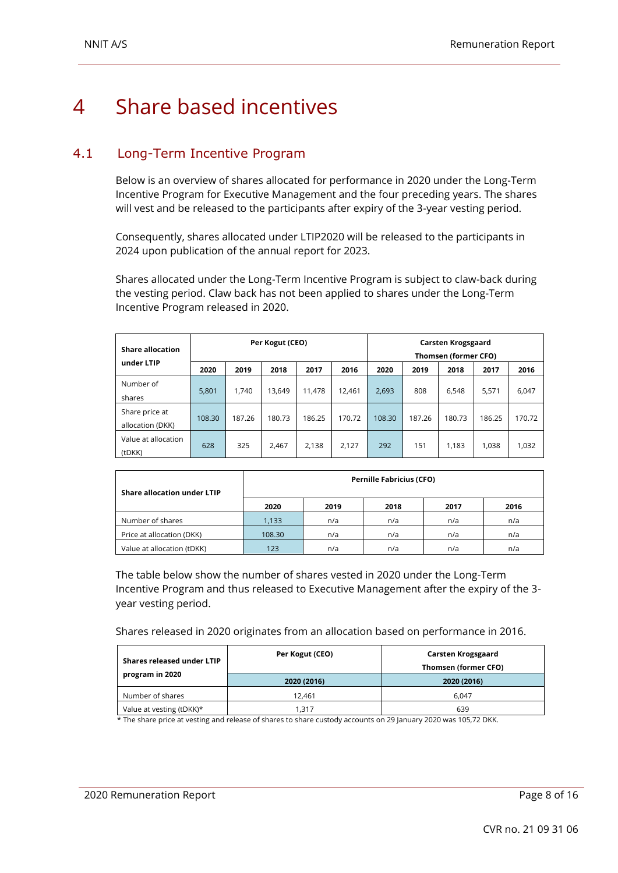### <span id="page-7-0"></span>4 Share based incentives

### <span id="page-7-1"></span>4.1 Long-Term Incentive Program

Below is an overview of shares allocated for performance in 2020 under the Long-Term Incentive Program for Executive Management and the four preceding years. The shares will vest and be released to the participants after expiry of the 3-year vesting period.

Consequently, shares allocated under LTIP2020 will be released to the participants in 2024 upon publication of the annual report for 2023.

Shares allocated under the Long-Term Incentive Program is subject to claw-back during the vesting period. Claw back has not been applied to shares under the Long-Term Incentive Program released in 2020.

| <b>Share allocation</b>            |        |        | Per Kogut (CEO) |        |        | Carsten Krogsgaard<br>Thomsen (former CFO) |        |        |        |        |
|------------------------------------|--------|--------|-----------------|--------|--------|--------------------------------------------|--------|--------|--------|--------|
| under LTIP                         | 2020   | 2019   | 2018            | 2017   | 2016   | 2020                                       | 2019   | 2018   | 2017   | 2016   |
| Number of<br>shares                | 5,801  | 1.740  | 13.649          | 11.478 | 12.461 | 2,693                                      | 808    | 6,548  | 5,571  | 6,047  |
| Share price at<br>allocation (DKK) | 108.30 | 187.26 | 180.73          | 186.25 | 170.72 | 108.30                                     | 187.26 | 180.73 | 186.25 | 170.72 |
| Value at allocation<br>(tDKK)      | 628    | 325    | 2,467           | 2,138  | 2,127  | 292                                        | 151    | 1.183  | 1,038  | 1,032  |

| Share allocation under LTIP | <b>Pernille Fabricius (CFO)</b> |      |      |      |      |  |  |  |
|-----------------------------|---------------------------------|------|------|------|------|--|--|--|
|                             | 2020                            | 2019 | 2018 | 2017 | 2016 |  |  |  |
| Number of shares            | 1,133                           | n/a  | n/a  | n/a  | n/a  |  |  |  |
| Price at allocation (DKK)   | 108.30                          | n/a  | n/a  | n/a  | n/a  |  |  |  |
| Value at allocation (tDKK)  | 123                             | n/a  | n/a  | n/a  | n/a  |  |  |  |

The table below show the number of shares vested in 2020 under the Long-Term Incentive Program and thus released to Executive Management after the expiry of the 3 year vesting period.

Shares released in 2020 originates from an allocation based on performance in 2016.

| Shares released under LTIP | Per Kogut (CEO) | Carsten Krogsgaard<br>Thomsen (former CFO) |  |
|----------------------------|-----------------|--------------------------------------------|--|
| program in 2020            | 2020 (2016)     | 2020 (2016)                                |  |
| Number of shares           | 12.461          | 6.047                                      |  |
| Value at vesting (tDKK)*   | 1.317           | 639                                        |  |

\* The share price at vesting and release of shares to share custody accounts on 29 January 2020 was 105,72 DKK.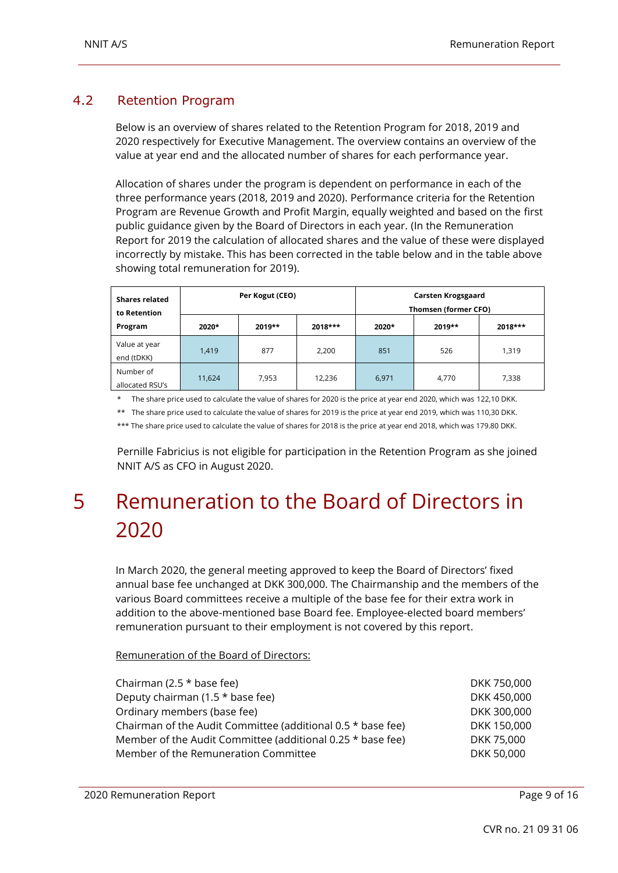#### <span id="page-8-0"></span>4.2 Retention Program

Below is an overview of shares related to the Retention Program for 2018, 2019 and 2020 respectively for Executive Management. The overview contains an overview of the value at year end and the allocated number of shares for each performance year.

Allocation of shares under the program is dependent on performance in each of the three performance years (2018, 2019 and 2020). Performance criteria for the Retention Program are Revenue Growth and Profit Margin, equally weighted and based on the first public guidance given by the Board of Directors in each year. (In the Remuneration Report for 2019 the calculation of allocated shares and the value of these were displayed incorrectly by mistake. This has been corrected in the table below and in the table above showing total remuneration for 2019).

| <b>Shares related</b><br>to Retention |        | Per Kogut (CEO) |           | Carsten Krogsgaard<br>Thomsen (former CFO) |          |           |  |
|---------------------------------------|--------|-----------------|-----------|--------------------------------------------|----------|-----------|--|
| Program                               | 2020*  | $2019**$        | $2018***$ | 2020*                                      | $2019**$ | $2018***$ |  |
| Value at year<br>end (tDKK)           | 1,419  | 877             | 2,200     | 851                                        | 526      | 1,319     |  |
| Number of<br>allocated RSU's          | 11,624 | 7,953           | 12,236    | 6,971                                      | 4,770    | 7,338     |  |

\* The share price used to calculate the value of shares for 2020 is the price at year end 2020, which was 122,10 DKK.

\*\* The share price used to calculate the value of shares for 2019 is the price at year end 2019, which was 110,30 DKK.

\*\*\* The share price used to calculate the value of shares for 2018 is the price at year end 2018, which was 179.80 DKK.

Pernille Fabricius is not eligible for participation in the Retention Program as she joined NNIT A/S as CFO in August 2020.

### <span id="page-8-1"></span>5 Remuneration to the Board of Directors in 2020

In March 2020, the general meeting approved to keep the Board of Directors' fixed annual base fee unchanged at DKK 300,000. The Chairmanship and the members of the various Board committees receive a multiple of the base fee for their extra work in addition to the above-mentioned base Board fee. Employee-elected board members' remuneration pursuant to their employment is not covered by this report.

#### Remuneration of the Board of Directors:

| Chairman (2.5 $*$ base fee)                                 | DKK 750,000 |
|-------------------------------------------------------------|-------------|
| Deputy chairman (1.5 * base fee)                            | DKK 450,000 |
| Ordinary members (base fee)                                 | DKK 300,000 |
| Chairman of the Audit Committee (additional 0.5 * base fee) | DKK 150,000 |
| Member of the Audit Committee (additional 0.25 * base fee)  | DKK 75,000  |
| Member of the Remuneration Committee                        | DKK 50,000  |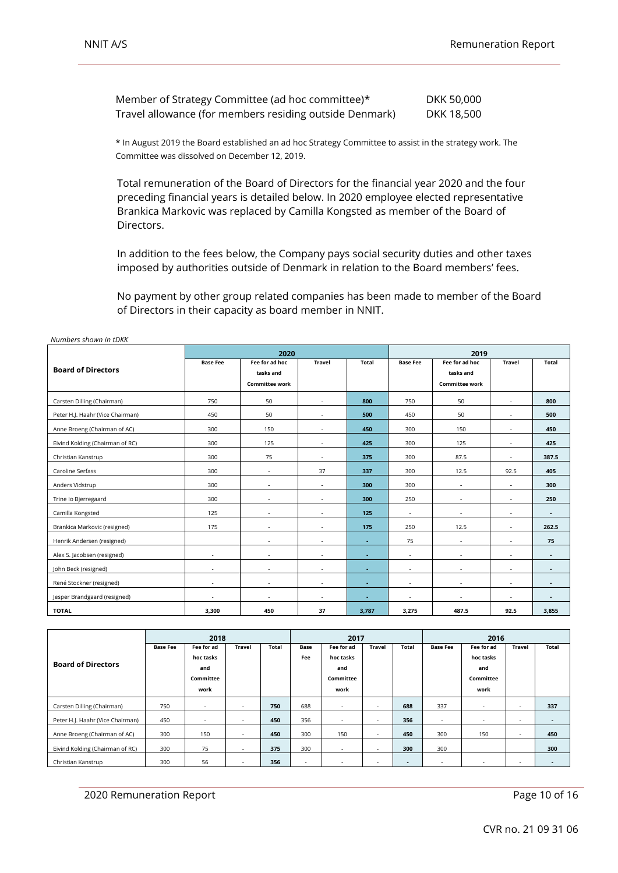| Member of Strategy Committee (ad hoc committee)*        | DKK 50,000 |
|---------------------------------------------------------|------------|
| Travel allowance (for members residing outside Denmark) | DKK 18,500 |

\* In August 2019 the Board established an ad hoc Strategy Committee to assist in the strategy work. The Committee was dissolved on December 12, 2019.

Total remuneration of the Board of Directors for the financial year 2020 and the four preceding financial years is detailed below. In 2020 employee elected representative Brankica Markovic was replaced by Camilla Kongsted as member of the Board of Directors.

In addition to the fees below, the Company pays social security duties and other taxes imposed by authorities outside of Denmark in relation to the Board members' fees.

No payment by other group related companies has been made to member of the Board of Directors in their capacity as board member in NNIT.

|                                  |                          | 2020                                                 |               | 2019         |                          |                                                      |               |                |
|----------------------------------|--------------------------|------------------------------------------------------|---------------|--------------|--------------------------|------------------------------------------------------|---------------|----------------|
| <b>Board of Directors</b>        | <b>Base Fee</b>          | Fee for ad hoc<br>tasks and<br><b>Committee work</b> | <b>Travel</b> | <b>Total</b> | <b>Base Fee</b>          | Fee for ad hoc<br>tasks and<br><b>Committee work</b> | <b>Travel</b> | <b>Total</b>   |
| Carsten Dilling (Chairman)       | 750                      | 50                                                   | $\sim$        | 800          | 750                      | 50                                                   | $\sim$        | 800            |
| Peter H.J. Haahr (Vice Chairman) | 450                      | 50                                                   | $\sim$        | 500          | 450                      | 50                                                   | $\sim$        | 500            |
| Anne Broeng (Chairman of AC)     | 300                      | 150                                                  | $\sim$        | 450          | 300                      | 150                                                  | $\sim$        | 450            |
| Eivind Kolding (Chairman of RC)  | 300                      | 125                                                  | $\sim$        | 425          | 300                      | 125                                                  | ٠             | 425            |
| Christian Kanstrup               | 300                      | 75                                                   | $\sim$        | 375          | 300                      | 87.5                                                 |               | 387.5          |
| Caroline Serfass                 | 300                      | ٠                                                    | 37            | 337          | 300                      | 12.5                                                 | 92.5          | 405            |
| Anders Vidstrup                  | 300                      |                                                      | $\sim$        | 300          | 300                      | $\blacksquare$                                       | ٠             | 300            |
| Trine Io Bjerregaard             | 300                      |                                                      | ×.            | 300          | 250                      | $\sim$                                               | ×.            | 250            |
| Camilla Kongsted                 | 125                      |                                                      | ٠             | 125          | $\sim$                   | ٠                                                    | ٠             | ٠              |
| Brankica Markovic (resigned)     | 175                      |                                                      | $\sim$        | 175          | 250                      | 12.5                                                 | ÷             | 262.5          |
| Henrik Andersen (resigned)       |                          | $\sim$                                               | $\sim$        | ٠            | 75                       | $\sim$                                               | $\sim$        | 75             |
| Alex S. Jacobsen (resigned)      | $\sim$                   | $\sim$                                               | $\sim$        | $\sim$       | $\sim$                   | $\sim$                                               | $\sim$        | $\sim$         |
| John Beck (resigned)             | $\sim$                   | $\sim$                                               | $\sim$        | ٠            | $\sim$                   | $\sim$                                               | $\sim$        | ٠              |
| René Stockner (resigned)         | $\sim$                   | ٠                                                    | $\sim$        | ٠            | $\sim$                   | $\sim$                                               | ٠             | $\blacksquare$ |
| Jesper Brandgaard (resigned)     | $\overline{\phantom{a}}$ | ٠                                                    | $\sim$        | ۰.           | $\overline{\phantom{a}}$ | $\sim$                                               | ٠             | ۰              |
| <b>TOTAL</b>                     | 3,300                    | 450                                                  | 37            | 3,787        | 3,275                    | 487.5                                                | 92.5          | 3,855          |

*Numbers shown in tDKK*

|                                  | 2018            |            |                          | 2017  |        |                          |               | 2016  |                          |            |        |                |
|----------------------------------|-----------------|------------|--------------------------|-------|--------|--------------------------|---------------|-------|--------------------------|------------|--------|----------------|
|                                  | <b>Base Fee</b> | Fee for ad | <b>Travel</b>            | Total | Base   | Fee for ad               | <b>Travel</b> | Total | <b>Base Fee</b>          | Fee for ad | Travel | Total          |
|                                  |                 | hoc tasks  |                          |       | Fee    | hoc tasks                |               |       |                          | hoc tasks  |        |                |
| <b>Board of Directors</b>        |                 | and        |                          |       |        | and                      |               |       |                          | and        |        |                |
|                                  |                 | Committee  |                          |       |        | Committee                |               |       |                          | Committee  |        |                |
|                                  |                 | work       |                          |       |        | work                     |               |       |                          | work       |        |                |
| Carsten Dilling (Chairman)       | 750             | $\sim$     |                          | 750   | 688    | $\sim$                   | ۰.            | 688   | 337                      | $\sim$     | $\sim$ | 337            |
| Peter H.J. Haahr (Vice Chairman) | 450             |            |                          | 450   | 356    | $\sim$                   |               | 356   | $\sim$                   |            | $\sim$ | ۰              |
| Anne Broeng (Chairman of AC)     | 300             | 150        |                          | 450   | 300    | 150                      |               | 450   | 300                      | 150        | $\sim$ | 450            |
| Eivind Kolding (Chairman of RC)  | 300             | 75         |                          | 375   | 300    | $\overline{\phantom{a}}$ |               | 300   | 300                      |            |        | 300            |
| Christian Kanstrup               | 300             | 56         | $\overline{\phantom{a}}$ | 356   | $\sim$ | $\overline{\phantom{a}}$ | $\sim$        | ۰.    | $\overline{\phantom{a}}$ |            | $\sim$ | $\blacksquare$ |

2020 Remuneration Report **Page 10 of 16** and 2020 Remuneration Report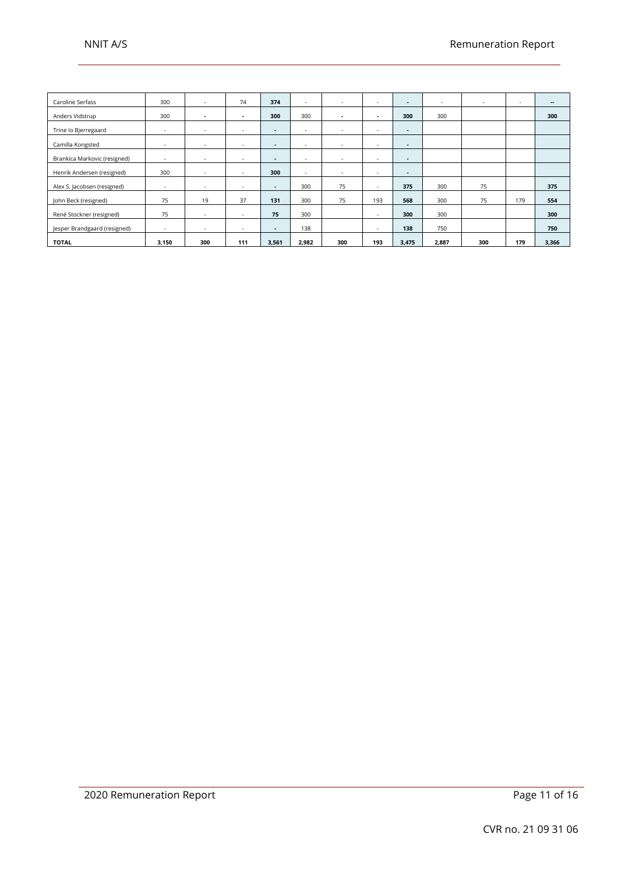| Caroline Serfass             | 300    | $\sim$         | 74     | 374            | $\sim$                   | $\sim$                   |                          | $\sim$         | $\sim$ | $\sim$ | $\overline{\phantom{a}}$ | $\overline{\phantom{a}}$ |
|------------------------------|--------|----------------|--------|----------------|--------------------------|--------------------------|--------------------------|----------------|--------|--------|--------------------------|--------------------------|
| Anders Vidstrup              | 300    | $\blacksquare$ | $\sim$ | 300            | 300                      | $\blacksquare$           | $\overline{\phantom{a}}$ | 300            | 300    |        |                          | 300                      |
| Trine lo Bjerregaard         |        | $\sim$         |        | $\blacksquare$ |                          | $\sim$                   | $\sim$                   | $\blacksquare$ |        |        |                          |                          |
| Camilla Kongsted             |        | $\sim$         |        | $\blacksquare$ | $\overline{\phantom{a}}$ | $\overline{\phantom{a}}$ | $\sim$                   | ٠              |        |        |                          |                          |
| Brankica Markovic (resigned) | $\sim$ | $\sim$         | ж.     | $\sim$         | $\sim$                   | $\sim$                   | ٠                        | $\sim$         |        |        |                          |                          |
| Henrik Andersen (resigned)   | 300    | $\sim$         |        | 300            | $\sim$                   | $\sim$                   |                          | ۰.             |        |        |                          |                          |
| Alex S. Jacobsen (resigned)  |        | $\sim$         |        | $\sim$         | 300                      | 75                       | $\sim$                   | 375            | 300    | 75     |                          | 375                      |
| John Beck (resigned)         | 75     | 19             | 37     | 131            | 300                      | 75                       | 193                      | 568            | 300    | 75     | 179                      | 554                      |
| René Stockner (resigned)     | 75     | $\sim$         | ۰.     | 75             | 300                      |                          | $\sim$                   | 300            | 300    |        |                          | 300                      |
| Jesper Brandgaard (resigned) | $\sim$ |                |        | $\sim$         | 138                      |                          |                          | 138            | 750    |        |                          | 750                      |
| <b>TOTAL</b>                 | 3,150  | 300            | 111    | 3,561          | 2,982                    | 300                      | 193                      | 3,475          | 2,887  | 300    | 179                      | 3,366                    |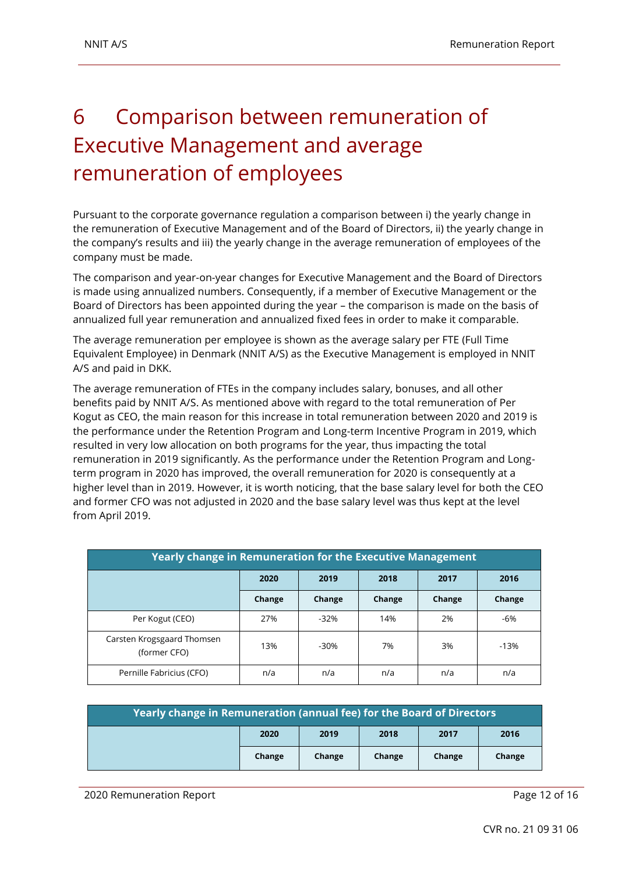## <span id="page-11-0"></span>6 Comparison between remuneration of Executive Management and average remuneration of employees

Pursuant to the corporate governance regulation a comparison between i) the yearly change in the remuneration of Executive Management and of the Board of Directors, ii) the yearly change in the company's results and iii) the yearly change in the average remuneration of employees of the company must be made.

The comparison and year-on-year changes for Executive Management and the Board of Directors is made using annualized numbers. Consequently, if a member of Executive Management or the Board of Directors has been appointed during the year – the comparison is made on the basis of annualized full year remuneration and annualized fixed fees in order to make it comparable.

The average remuneration per employee is shown as the average salary per FTE (Full Time Equivalent Employee) in Denmark (NNIT A/S) as the Executive Management is employed in NNIT A/S and paid in DKK.

The average remuneration of FTEs in the company includes salary, bonuses, and all other benefits paid by NNIT A/S. As mentioned above with regard to the total remuneration of Per Kogut as CEO, the main reason for this increase in total remuneration between 2020 and 2019 is the performance under the Retention Program and Long-term Incentive Program in 2019, which resulted in very low allocation on both programs for the year, thus impacting the total remuneration in 2019 significantly. As the performance under the Retention Program and Longterm program in 2020 has improved, the overall remuneration for 2020 is consequently at a higher level than in 2019. However, it is worth noticing, that the base salary level for both the CEO and former CFO was not adjusted in 2020 and the base salary level was thus kept at the level from April 2019.

| <b>Yearly change in Remuneration for the Executive Management</b> |                      |        |        |        |        |  |  |  |
|-------------------------------------------------------------------|----------------------|--------|--------|--------|--------|--|--|--|
|                                                                   | 2020<br>2019<br>2018 |        | 2017   | 2016   |        |  |  |  |
|                                                                   | Change               | Change | Change | Change | Change |  |  |  |
| Per Kogut (CEO)                                                   | 27%                  | $-32%$ | 14%    | 2%     | -6%    |  |  |  |
| Carsten Krogsgaard Thomsen<br>(former CFO)                        | 13%                  | $-30%$ | 7%     | 3%     | $-13%$ |  |  |  |
| Pernille Fabricius (CFO)                                          | n/a                  | n/a    | n/a    | n/a    | n/a    |  |  |  |

| Yearly change in Remuneration (annual fee) for the Board of Directors |        |        |        |        |        |  |  |
|-----------------------------------------------------------------------|--------|--------|--------|--------|--------|--|--|
|                                                                       | 2020   | 2019   | 2018   | 2017   | 2016   |  |  |
|                                                                       | Change | Change | Change | Change | Change |  |  |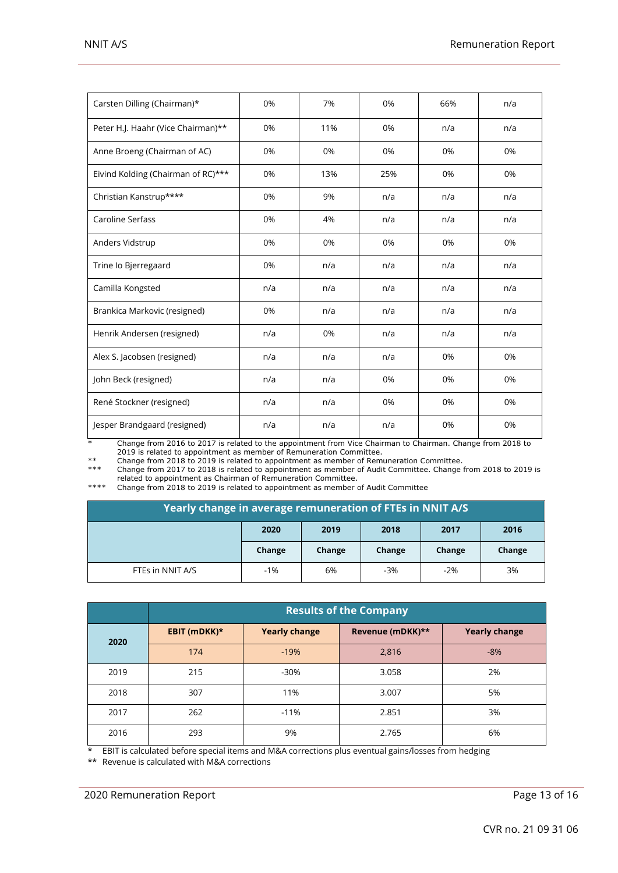| Carsten Dilling (Chairman)*        | 0%  | 7%  | 0%  | 66% | n/a |
|------------------------------------|-----|-----|-----|-----|-----|
| Peter H.J. Haahr (Vice Chairman)** | 0%  | 11% | 0%  | n/a | n/a |
| Anne Broeng (Chairman of AC)       | 0%  | 0%  | 0%  | 0%  | 0%  |
| Eivind Kolding (Chairman of RC)*** | 0%  | 13% | 25% | 0%  | 0%  |
| Christian Kanstrup****             | 0%  | 9%  | n/a | n/a | n/a |
| Caroline Serfass                   | 0%  | 4%  | n/a | n/a | n/a |
| Anders Vidstrup                    | 0%  | 0%  | 0%  | 0%  | 0%  |
| Trine lo Bjerregaard               | 0%  | n/a | n/a | n/a | n/a |
| Camilla Kongsted                   | n/a | n/a | n/a | n/a | n/a |
| Brankica Markovic (resigned)       | 0%  | n/a | n/a | n/a | n/a |
| Henrik Andersen (resigned)         | n/a | 0%  | n/a | n/a | n/a |
| Alex S. Jacobsen (resigned)        | n/a | n/a | n/a | 0%  | 0%  |
| John Beck (resigned)               | n/a | n/a | 0%  | 0%  | 0%  |
| René Stockner (resigned)           | n/a | n/a | 0%  | 0%  | 0%  |
| Jesper Brandgaard (resigned)       | n/a | n/a | n/a | 0%  | 0%  |

\* Change from 2016 to 2017 is related to the appointment from Vice Chairman to Chairman. Change from 2018 to 2019 is related to appointment as member of Remuneration Committee.

\*\* Change from 2018 to 2019 is related to appointment as member of Remuneration Committee.

\*\*\* Change from 2017 to 2018 is related to appointment as member of Audit Committee. Change from 2018 to 2019 is

related to appointment as Chairman of Remuneration Committee. \*\*\*\* Change from 2018 to 2019 is related to appointment as member of Audit Committee

| Yearly change in average remuneration of FTEs in NNIT A/S |        |        |        |        |        |  |  |
|-----------------------------------------------------------|--------|--------|--------|--------|--------|--|--|
| 2020<br>2019<br>2018<br>2017<br>2016                      |        |        |        |        |        |  |  |
|                                                           | Change | Change | Change | Change | Change |  |  |
| FTES in NNIT A/S                                          | $-1%$  | 6%     | $-3%$  | $-2%$  | 3%     |  |  |

|      | <b>Results of the Company</b> |                      |                  |                      |  |  |  |  |  |
|------|-------------------------------|----------------------|------------------|----------------------|--|--|--|--|--|
| 2020 | EBIT (mDKK)*                  | <b>Yearly change</b> | Revenue (mDKK)** | <b>Yearly change</b> |  |  |  |  |  |
|      | 174                           | $-19%$               | 2,816            | $-8%$                |  |  |  |  |  |
| 2019 | 215                           | $-30%$               | 3.058            | 2%                   |  |  |  |  |  |
| 2018 | 307                           | 11%                  | 3.007            | 5%                   |  |  |  |  |  |
| 2017 | 262                           | $-11%$               | 2.851            | 3%                   |  |  |  |  |  |
| 2016 | 293                           | 9%                   | 2.765            | 6%                   |  |  |  |  |  |

\* EBIT is calculated before special items and M&A corrections plus eventual gains/losses from hedging

\*\* Revenue is calculated with M&A corrections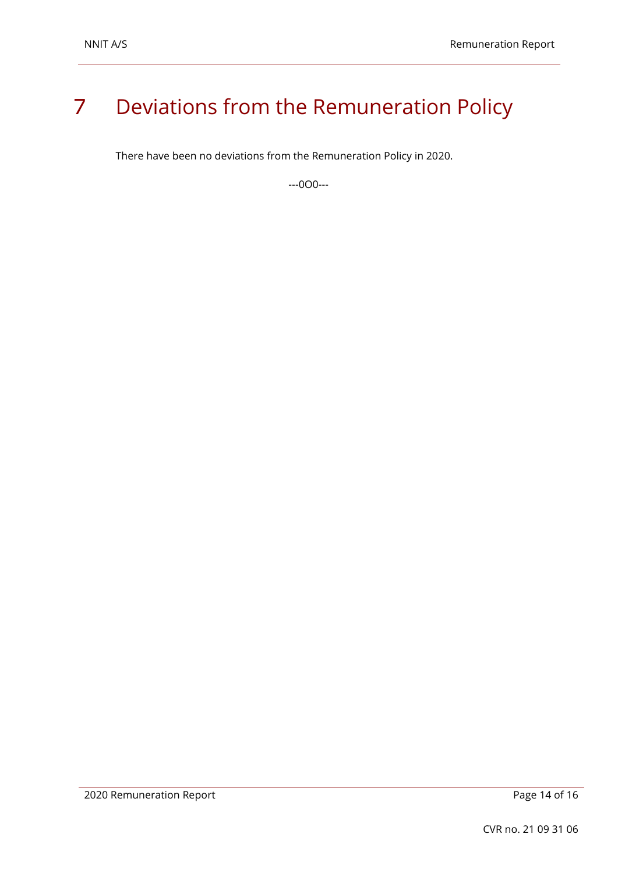### <span id="page-13-0"></span>7 Deviations from the Remuneration Policy

There have been no deviations from the Remuneration Policy in 2020.

---0O0---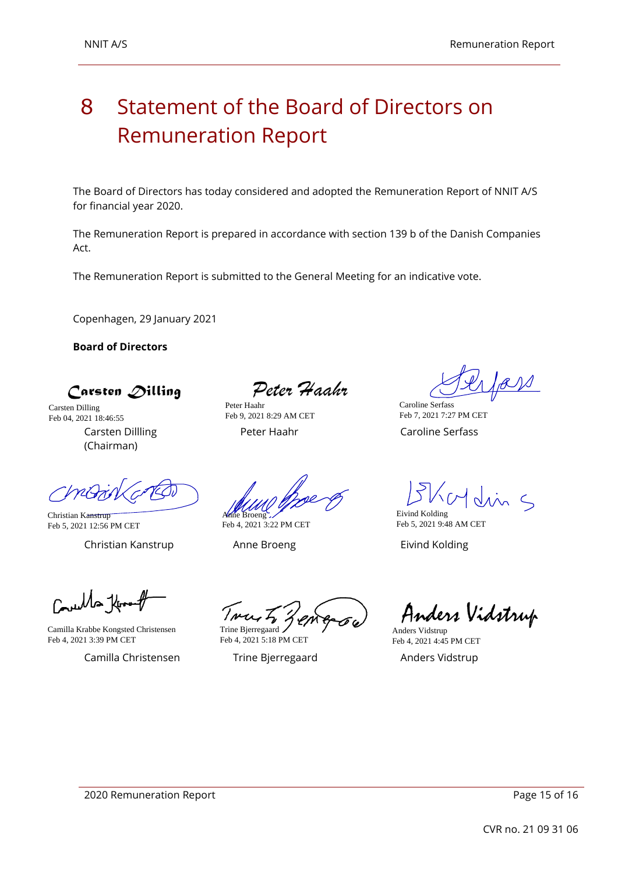### <span id="page-14-0"></span>8 Statement of the Board of Directors on Remuneration Report

The Board of Directors has today considered and adopted the Remuneration Report of NNIT A/S for financial year 2020.

The Remuneration Report is prepared in accordance with section 139 b of the Danish Companies Act.

The Remuneration Report is submitted to the General Meeting for an indicative vote.

Copenhagen, 29 January 2021

**Board of Directors**

 $\bigcap$  arsten  $\bigtriangleup$ illing

Carsten Dillling (Chairman) Carsten Dilling Feb 04, 2021 18:46:55

Peter Haahr

Peter Haahr Caroline Serfass Peter Haahr Feb 9, 2021 8:29 AM CET

Caroline Serfass Feb 7, 2021 7:27 PM CET

Christian Kanstrup Feb 5, 2021 12:56 PM CET

Christian Kanstrup Anne Broeng Eivind Kolding

Anne Broeng Feb 4, 2021 3:22 PM CET

Eivind Kolding Feb 5, 2021 9:48 AM CET

 $C_{\rm min}$ lla thr

Camilla Krabbe Kongsted Christensen Feb 4, 2021 3:39 PM CET

Camilla Christensen Trine Bjerregaard Anders Vidstrup

Trine Bjerregaard

Feb 4, 2021 5:18 PM CET

Anders Vidstrup

Anders Vidstrup Feb 4, 2021 4:45 PM CET